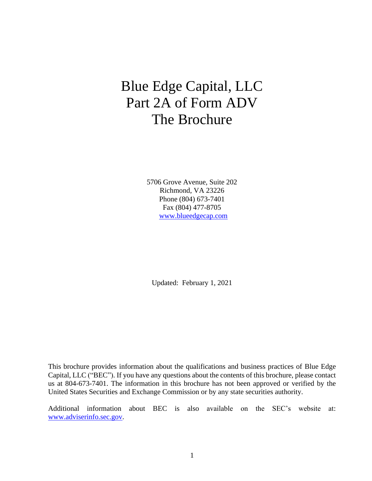# Blue Edge Capital, LLC Part 2A of Form ADV The Brochure

5706 Grove Avenue, Suite 202 Richmond, VA 23226 Phone (804) 673-7401 Fax (804) 477-8705 [www.blueedgecap.com](http://www.blueedgecap.com/)

Updated: February 1, 2021

This brochure provides information about the qualifications and business practices of Blue Edge Capital, LLC ("BEC"). If you have any questions about the contents of this brochure, please contact us at 804-673-7401. The information in this brochure has not been approved or verified by the United States Securities and Exchange Commission or by any state securities authority.

Additional information about BEC is also available on the SEC's website at: [www.adviserinfo.sec.gov.](http://www.adviserinfo.sec.gov/)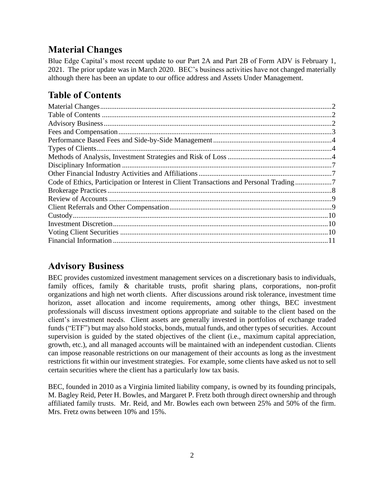# <span id="page-1-0"></span>**Material Changes**

<span id="page-1-1"></span>Blue Edge Capital's most recent update to our Part 2A and Part 2B of Form ADV is February 1, 2021. The prior update was in March 2020. BEC's business activities have not changed materially although there has been an update to our office address and Assets Under Management.

# **Table of Contents**

## <span id="page-1-2"></span>**Advisory Business**

BEC provides customized investment management services on a discretionary basis to individuals, family offices, family & charitable trusts, profit sharing plans, corporations, non-profit organizations and high net worth clients. After discussions around risk tolerance, investment time horizon, asset allocation and income requirements, among other things, BEC investment professionals will discuss investment options appropriate and suitable to the client based on the client's investment needs. Client assets are generally invested in portfolios of exchange traded funds("ETF") but may also hold stocks, bonds, mutual funds, and other types of securities. Account supervision is guided by the stated objectives of the client (i.e., maximum capital appreciation, growth, etc.), and all managed accounts will be maintained with an independent custodian. Clients can impose reasonable restrictions on our management of their accounts as long as the investment restrictions fit within our investment strategies. For example, some clients have asked us not to sell certain securities where the client has a particularly low tax basis.

BEC, founded in 2010 as a Virginia limited liability company, is owned by its founding principals, M. Bagley Reid, Peter H. Bowles, and Margaret P. Fretz both through direct ownership and through affiliated family trusts. Mr. Reid, and Mr. Bowles each own between 25% and 50% of the firm. Mrs. Fretz owns between 10% and 15%.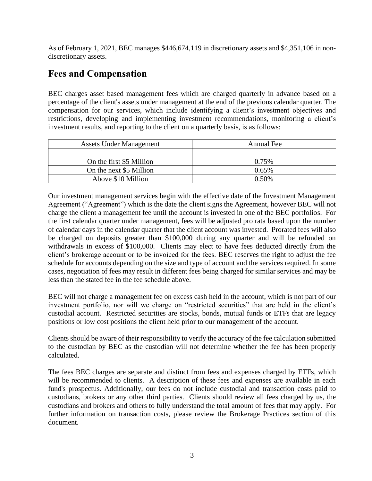As of February 1, 2021, BEC manages \$446,674,119 in discretionary assets and \$4,351,106 in nondiscretionary assets.

### <span id="page-2-0"></span>**Fees and Compensation**

BEC charges asset based management fees which are charged quarterly in advance based on a percentage of the client's assets under management at the end of the previous calendar quarter. The compensation for our services, which include identifying a client's investment objectives and restrictions, developing and implementing investment recommendations, monitoring a client's investment results, and reporting to the client on a quarterly basis, is as follows:

| <b>Assets Under Management</b> | Annual Fee |
|--------------------------------|------------|
|                                |            |
| On the first \$5 Million       | 0.75%      |
| On the next \$5 Million        | 0.65%      |
| Above \$10 Million             | 0.50%      |

Our investment management services begin with the effective date of the Investment Management Agreement ("Agreement") which is the date the client signs the Agreement, however BEC will not charge the client a management fee until the account is invested in one of the BEC portfolios. For the first calendar quarter under management, fees will be adjusted pro rata based upon the number of calendar days in the calendar quarter that the client account was invested. Prorated fees will also be charged on deposits greater than \$100,000 during any quarter and will be refunded on withdrawals in excess of \$100,000. Clients may elect to have fees deducted directly from the client's brokerage account or to be invoiced for the fees. BEC reserves the right to adjust the fee schedule for accounts depending on the size and type of account and the services required. In some cases, negotiation of fees may result in different fees being charged for similar services and may be less than the stated fee in the fee schedule above.

BEC will not charge a management fee on excess cash held in the account, which is not part of our investment portfolio, nor will we charge on "restricted securities" that are held in the client's custodial account. Restricted securities are stocks, bonds, mutual funds or ETFs that are legacy positions or low cost positions the client held prior to our management of the account.

Clients should be aware of their responsibility to verify the accuracy of the fee calculation submitted to the custodian by BEC as the custodian will not determine whether the fee has been properly calculated.

The fees BEC charges are separate and distinct from fees and expenses charged by ETFs, which will be recommended to clients. A description of these fees and expenses are available in each fund's prospectus. Additionally, our fees do not include custodial and transaction costs paid to custodians, brokers or any other third parties. Clients should review all fees charged by us, the custodians and brokers and others to fully understand the total amount of fees that may apply. For further information on transaction costs, please review the Brokerage Practices section of this document.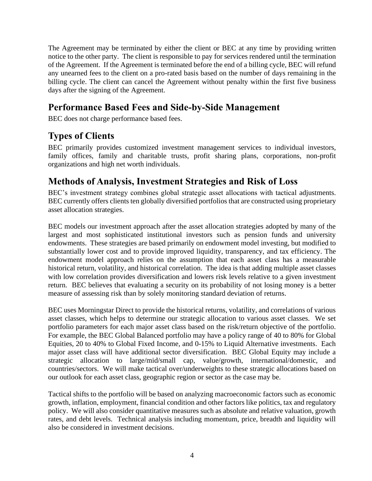The Agreement may be terminated by either the client or BEC at any time by providing written notice to the other party. The client is responsible to pay for services rendered until the termination of the Agreement. If the Agreement is terminated before the end of a billing cycle, BEC will refund any unearned fees to the client on a pro-rated basis based on the number of days remaining in the billing cycle. The client can cancel the Agreement without penalty within the first five business days after the signing of the Agreement.

### <span id="page-3-0"></span>**Performance Based Fees and Side-by-Side Management**

<span id="page-3-1"></span>BEC does not charge performance based fees.

## **Types of Clients**

BEC primarily provides customized investment management services to individual investors, family offices, family and charitable trusts, profit sharing plans, corporations, non-profit organizations and high net worth individuals.

### <span id="page-3-2"></span>**Methods of Analysis, Investment Strategies and Risk of Loss**

BEC's investment strategy combines global strategic asset allocations with tactical adjustments. BEC currently offers clients ten globally diversified portfolios that are constructed using proprietary asset allocation strategies.

BEC models our investment approach after the asset allocation strategies adopted by many of the largest and most sophisticated institutional investors such as pension funds and university endowments. These strategies are based primarily on endowment model investing, but modified to substantially lower cost and to provide improved liquidity, transparency, and tax efficiency. The endowment model approach relies on the assumption that each asset class has a measurable historical return, volatility, and historical correlation. The idea is that adding multiple asset classes with low correlation provides diversification and lowers risk levels relative to a given investment return. BEC believes that evaluating a security on its probability of not losing money is a better measure of assessing risk than by solely monitoring standard deviation of returns.

BEC uses Morningstar Direct to provide the historical returns, volatility, and correlations of various asset classes, which helps to determine our strategic allocation to various asset classes. We set portfolio parameters for each major asset class based on the risk/return objective of the portfolio. For example, the BEC Global Balanced portfolio may have a policy range of 40 to 80% for Global Equities, 20 to 40% to Global Fixed Income, and 0-15% to Liquid Alternative investments. Each major asset class will have additional sector diversification. BEC Global Equity may include a strategic allocation to large/mid/small cap, value/growth, international/domestic, and countries/sectors. We will make tactical over/underweights to these strategic allocations based on our outlook for each asset class, geographic region or sector as the case may be.

Tactical shifts to the portfolio will be based on analyzing macroeconomic factors such as economic growth, inflation, employment, financial condition and other factors like politics, tax and regulatory policy. We will also consider quantitative measures such as absolute and relative valuation, growth rates, and debt levels. Technical analysis including momentum, price, breadth and liquidity will also be considered in investment decisions.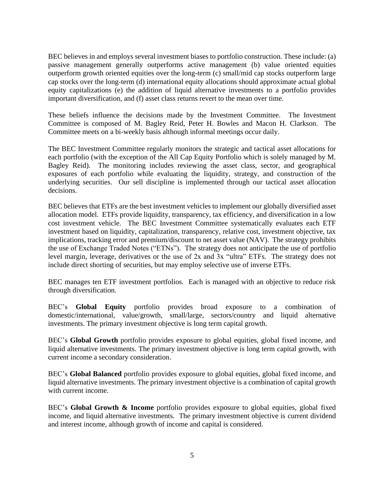BEC believes in and employs several investment biases to portfolio construction. These include: (a) passive management generally outperforms active management (b) value oriented equities outperform growth oriented equities over the long-term (c) small/mid cap stocks outperform large cap stocks over the long-term (d) international equity allocations should approximate actual global equity capitalizations (e) the addition of liquid alternative investments to a portfolio provides important diversification, and (f) asset class returns revert to the mean over time.

These beliefs influence the decisions made by the Investment Committee. The Investment Committee is composed of M. Bagley Reid, Peter H. Bowles and Macon H. Clarkson. The Committee meets on a bi-weekly basis although informal meetings occur daily.

The BEC Investment Committee regularly monitors the strategic and tactical asset allocations for each portfolio (with the exception of the All Cap Equity Portfolio which is solely managed by M. Bagley Reid). The monitoring includes reviewing the asset class, sector, and geographical exposures of each portfolio while evaluating the liquidity, strategy, and construction of the underlying securities. Our sell discipline is implemented through our tactical asset allocation decisions.

BEC believes that ETFs are the best investment vehicles to implement our globally diversified asset allocation model. ETFs provide liquidity, transparency, tax efficiency, and diversification in a low cost investment vehicle. The BEC Investment Committee systematically evaluates each ETF investment based on liquidity, capitalization, transparency, relative cost, investment objective, tax implications, tracking error and premium/discount to net asset value (NAV). The strategy prohibits the use of Exchange Traded Notes ("ETNs"). The strategy does not anticipate the use of portfolio level margin, leverage, derivatives or the use of 2x and 3x "ultra" ETFs. The strategy does not include direct shorting of securities, but may employ selective use of inverse ETFs.

BEC manages ten ETF investment portfolios. Each is managed with an objective to reduce risk through diversification.

BEC's **Global Equity** portfolio provides broad exposure to a combination of domestic/international, value/growth, small/large, sectors/country and liquid alternative investments. The primary investment objective is long term capital growth.

BEC's **Global Growth** portfolio provides exposure to global equities, global fixed income, and liquid alternative investments. The primary investment objective is long term capital growth, with current income a secondary consideration.

BEC's **Global Balanced** portfolio provides exposure to global equities, global fixed income, and liquid alternative investments. The primary investment objective is a combination of capital growth with current income.

BEC's **Global Growth & Income** portfolio provides exposure to global equities, global fixed income, and liquid alternative investments. The primary investment objective is current dividend and interest income, although growth of income and capital is considered.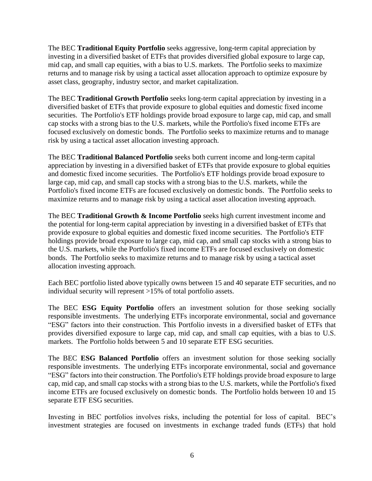The BEC **Traditional Equity Portfolio** seeks aggressive, long-term capital appreciation by investing in a diversified basket of ETFs that provides diversified global exposure to large cap, mid cap, and small cap equities, with a bias to U.S. markets. The Portfolio seeks to maximize returns and to manage risk by using a tactical asset allocation approach to optimize exposure by asset class, geography, industry sector, and market capitalization.

The BEC **Traditional Growth Portfolio** seeks long-term capital appreciation by investing in a diversified basket of ETFs that provide exposure to global equities and domestic fixed income securities. The Portfolio's ETF holdings provide broad exposure to large cap, mid cap, and small cap stocks with a strong bias to the U.S. markets, while the Portfolio's fixed income ETFs are focused exclusively on domestic bonds. The Portfolio seeks to maximize returns and to manage risk by using a tactical asset allocation investing approach.

The BEC **Traditional Balanced Portfolio** seeks both current income and long-term capital appreciation by investing in a diversified basket of ETFs that provide exposure to global equities and domestic fixed income securities. The Portfolio's ETF holdings provide broad exposure to large cap, mid cap, and small cap stocks with a strong bias to the U.S. markets, while the Portfolio's fixed income ETFs are focused exclusively on domestic bonds. The Portfolio seeks to maximize returns and to manage risk by using a tactical asset allocation investing approach.

The BEC **Traditional Growth & Income Portfolio** seeks high current investment income and the potential for long-term capital appreciation by investing in a diversified basket of ETFs that provide exposure to global equities and domestic fixed income securities. The Portfolio's ETF holdings provide broad exposure to large cap, mid cap, and small cap stocks with a strong bias to the U.S. markets, while the Portfolio's fixed income ETFs are focused exclusively on domestic bonds. The Portfolio seeks to maximize returns and to manage risk by using a tactical asset allocation investing approach.

Each BEC portfolio listed above typically owns between 15 and 40 separate ETF securities, and no individual security will represent >15% of total portfolio assets.

The BEC **ESG Equity Portfolio** offers an investment solution for those seeking socially responsible investments. The underlying ETFs incorporate environmental, social and governance "ESG" factors into their construction. This Portfolio invests in a diversified basket of ETFs that provides diversified exposure to large cap, mid cap, and small cap equities, with a bias to U.S. markets. The Portfolio holds between 5 and 10 separate ETF ESG securities.

The BEC **ESG Balanced Portfolio** offers an investment solution for those seeking socially responsible investments. The underlying ETFs incorporate environmental, social and governance "ESG" factors into their construction. The Portfolio's ETF holdings provide broad exposure to large cap, mid cap, and small cap stocks with a strong bias to the U.S. markets, while the Portfolio's fixed income ETFs are focused exclusively on domestic bonds. The Portfolio holds between 10 and 15 separate ETF ESG securities.

Investing in BEC portfolios involves risks, including the potential for loss of capital. BEC's investment strategies are focused on investments in exchange traded funds (ETFs) that hold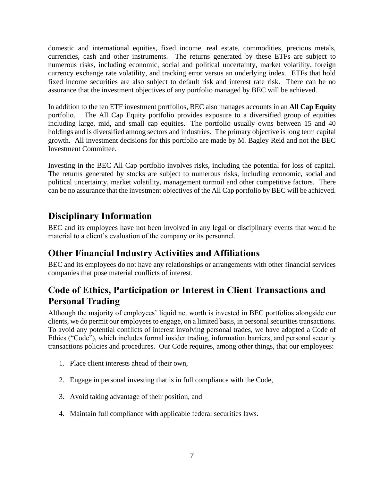domestic and international equities, fixed income, real estate, commodities, precious metals, currencies, cash and other instruments. The returns generated by these ETFs are subject to numerous risks, including economic, social and political uncertainty, market volatility, foreign currency exchange rate volatility, and tracking error versus an underlying index. ETFs that hold fixed income securities are also subject to default risk and interest rate risk. There can be no assurance that the investment objectives of any portfolio managed by BEC will be achieved.

In addition to the ten ETF investment portfolios, BEC also manages accounts in an **All Cap Equity** portfolio. The All Cap Equity portfolio provides exposure to a diversified group of equities including large, mid, and small cap equities. The portfolio usually owns between 15 and 40 holdings and is diversified among sectors and industries. The primary objective is long term capital growth. All investment decisions for this portfolio are made by M. Bagley Reid and not the BEC Investment Committee.

Investing in the BEC All Cap portfolio involves risks, including the potential for loss of capital. The returns generated by stocks are subject to numerous risks, including economic, social and political uncertainty, market volatility, management turmoil and other competitive factors. There can be no assurance that the investment objectives of the All Cap portfolio by BEC will be achieved.

### <span id="page-6-0"></span>**Disciplinary Information**

BEC and its employees have not been involved in any legal or disciplinary events that would be material to a client's evaluation of the company or its personnel.

## <span id="page-6-1"></span>**Other Financial Industry Activities and Affiliations**

BEC and its employees do not have any relationships or arrangements with other financial services companies that pose material conflicts of interest.

# <span id="page-6-2"></span>**Code of Ethics, Participation or Interest in Client Transactions and Personal Trading**

Although the majority of employees' liquid net worth is invested in BEC portfolios alongside our clients, we do permit our employees to engage, on a limited basis, in personal securities transactions. To avoid any potential conflicts of interest involving personal trades, we have adopted a Code of Ethics ("Code"), which includes formal insider trading, information barriers, and personal security transactions policies and procedures. Our Code requires, among other things, that our employees:

- 1. Place client interests ahead of their own,
- 2. Engage in personal investing that is in full compliance with the Code,
- 3. Avoid taking advantage of their position, and
- 4. Maintain full compliance with applicable federal securities laws.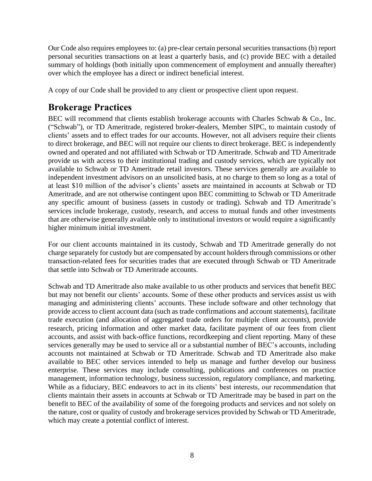Our Code also requires employees to: (a) pre-clear certain personal securities transactions (b) report personal securities transactions on at least a quarterly basis, and (c) provide BEC with a detailed summary of holdings (both initially upon commencement of employment and annually thereafter) over which the employee has a direct or indirect beneficial interest.

A copy of our Code shall be provided to any client or prospective client upon request.

### <span id="page-7-0"></span>**Brokerage Practices**

BEC will recommend that clients establish brokerage accounts with Charles Schwab & Co., Inc. ("Schwab"), or TD Ameritrade, registered broker-dealers, Member SIPC, to maintain custody of clients' assets and to effect trades for our accounts. However, not all advisers require their clients to direct brokerage, and BEC will not require our clients to direct brokerage. BEC is independently owned and operated and not affiliated with Schwab or TD Ameritrade. Schwab and TD Ameritrade provide us with access to their institutional trading and custody services, which are typically not available to Schwab or TD Ameritrade retail investors. These services generally are available to independent investment advisors on an unsolicited basis, at no charge to them so long as a total of at least \$10 million of the advisor's clients' assets are maintained in accounts at Schwab or TD Ameritrade, and are not otherwise contingent upon BEC committing to Schwab or TD Ameritrade any specific amount of business (assets in custody or trading). Schwab and TD Ameritrade's services include brokerage, custody, research, and access to mutual funds and other investments that are otherwise generally available only to institutional investors or would require a significantly higher minimum initial investment.

For our client accounts maintained in its custody, Schwab and TD Ameritrade generally do not charge separately for custody but are compensated by account holders through commissions or other transaction-related fees for securities trades that are executed through Schwab or TD Ameritrade that settle into Schwab or TD Ameritrade accounts.

Schwab and TD Ameritrade also make available to us other products and services that benefit BEC but may not benefit our clients' accounts. Some of these other products and services assist us with managing and administering clients' accounts. These include software and other technology that provide access to client account data (such as trade confirmations and account statements), facilitate trade execution (and allocation of aggregated trade orders for multiple client accounts), provide research, pricing information and other market data, facilitate payment of our fees from client accounts, and assist with back-office functions, recordkeeping and client reporting. Many of these services generally may be used to service all or a substantial number of BEC's accounts, including accounts not maintained at Schwab or TD Ameritrade. Schwab and TD Ameritrade also make available to BEC other services intended to help us manage and further develop our business enterprise. These services may include consulting, publications and conferences on practice management, information technology, business succession, regulatory compliance, and marketing. While as a fiduciary, BEC endeavors to act in its clients' best interests, our recommendation that clients maintain their assets in accounts at Schwab or TD Ameritrade may be based in part on the benefit to BEC of the availability of some of the foregoing products and services and not solely on the nature, cost or quality of custody and brokerage services provided by Schwab or TD Ameritrade, which may create a potential conflict of interest.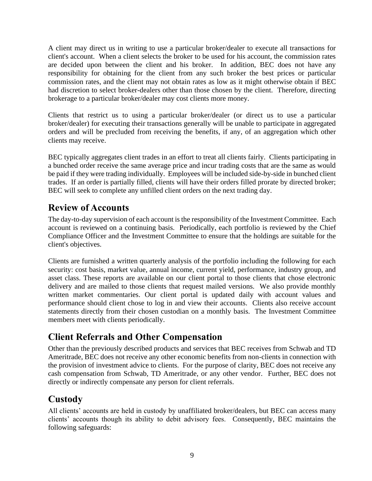A client may direct us in writing to use a particular broker/dealer to execute all transactions for client's account. When a client selects the broker to be used for his account, the commission rates are decided upon between the client and his broker. In addition, BEC does not have any responsibility for obtaining for the client from any such broker the best prices or particular commission rates, and the client may not obtain rates as low as it might otherwise obtain if BEC had discretion to select broker-dealers other than those chosen by the client. Therefore, directing brokerage to a particular broker/dealer may cost clients more money.

Clients that restrict us to using a particular broker/dealer (or direct us to use a particular broker/dealer) for executing their transactions generally will be unable to participate in aggregated orders and will be precluded from receiving the benefits, if any, of an aggregation which other clients may receive.

BEC typically aggregates client trades in an effort to treat all clients fairly. Clients participating in a bunched order receive the same average price and incur trading costs that are the same as would be paid if they were trading individually. Employees will be included side-by-side in bunched client trades. If an order is partially filled, clients will have their orders filled prorate by directed broker; BEC will seek to complete any unfilled client orders on the next trading day.

### <span id="page-8-0"></span>**Review of Accounts**

The day-to-day supervision of each account is the responsibility of the Investment Committee. Each account is reviewed on a continuing basis. Periodically, each portfolio is reviewed by the Chief Compliance Officer and the Investment Committee to ensure that the holdings are suitable for the client's objectives.

Clients are furnished a written quarterly analysis of the portfolio including the following for each security: cost basis, market value, annual income, current yield, performance, industry group, and asset class. These reports are available on our client portal to those clients that chose electronic delivery and are mailed to those clients that request mailed versions. We also provide monthly written market commentaries. Our client portal is updated daily with account values and performance should client chose to log in and view their accounts. Clients also receive account statements directly from their chosen custodian on a monthly basis. The Investment Committee members meet with clients periodically.

### <span id="page-8-1"></span>**Client Referrals and Other Compensation**

Other than the previously described products and services that BEC receives from Schwab and TD Ameritrade, BEC does not receive any other economic benefits from non-clients in connection with the provision of investment advice to clients. For the purpose of clarity, BEC does not receive any cash compensation from Schwab, TD Ameritrade, or any other vendor. Further, BEC does not directly or indirectly compensate any person for client referrals.

## <span id="page-8-2"></span>**Custody**

All clients' accounts are held in custody by unaffiliated broker/dealers, but BEC can access many clients' accounts though its ability to debit advisory fees. Consequently, BEC maintains the following safeguards: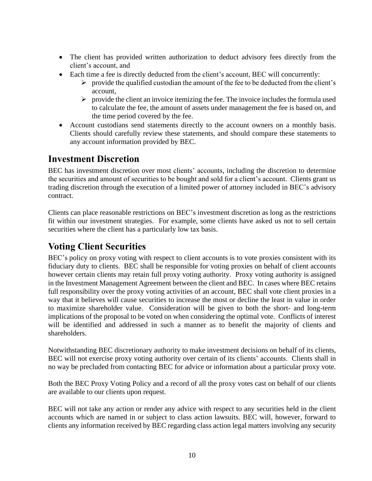- The client has provided written authorization to deduct advisory fees directly from the client's account, and
- Each time a fee is directly deducted from the client's account, BEC will concurrently:
	- ➢ provide the qualified custodian the amount of the fee to be deducted from the client's account,
	- $\triangleright$  provide the client an invoice itemizing the fee. The invoice includes the formula used to calculate the fee, the amount of assets under management the fee is based on, and the time period covered by the fee.
- Account custodians send statements directly to the account owners on a monthly basis. Clients should carefully review these statements, and should compare these statements to any account information provided by BEC.

### <span id="page-9-0"></span>**Investment Discretion**

BEC has investment discretion over most clients' accounts, including the discretion to determine the securities and amount of securities to be bought and sold for a client's account. Clients grant us trading discretion through the execution of a limited power of attorney included in BEC's advisory contract.

Clients can place reasonable restrictions on BEC's investment discretion as long as the restrictions fit within our investment strategies. For example, some clients have asked us not to sell certain securities where the client has a particularly low tax basis.

### <span id="page-9-1"></span>**Voting Client Securities**

<span id="page-9-2"></span>BEC's policy on proxy voting with respect to client accounts is to vote proxies consistent with its fiduciary duty to clients. BEC shall be responsible for voting proxies on behalf of client accounts however certain clients may retain full proxy voting authority. Proxy voting authority is assigned in the Investment Management Agreement between the client and BEC. In cases where BEC retains full responsibility over the proxy voting activities of an account, BEC shall vote client proxies in a way that it believes will cause securities to increase the most or decline the least in value in order to maximize shareholder value. Consideration will be given to both the short- and long-term implications of the proposal to be voted on when considering the optimal vote. Conflicts of interest will be identified and addressed in such a manner as to benefit the majority of clients and shareholders.

Notwithstanding BEC discretionary authority to make investment decisions on behalf of its clients, BEC will not exercise proxy voting authority over certain of its clients' accounts. Clients shall in no way be precluded from contacting BEC for advice or information about a particular proxy vote.

Both the BEC Proxy Voting Policy and a record of all the proxy votes cast on behalf of our clients are available to our clients upon request.

BEC will not take any action or render any advice with respect to any securities held in the client accounts which are named in or subject to class action lawsuits. BEC will, however, forward to clients any information received by BEC regarding class action legal matters involving any security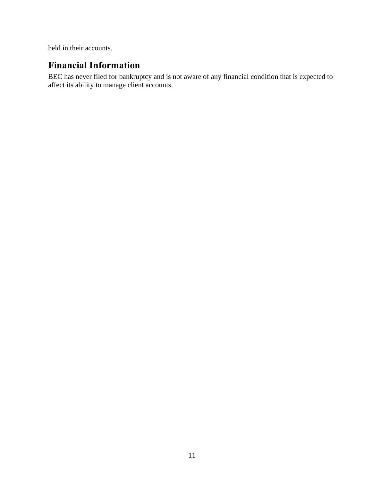held in their accounts.

## **Financial Information**

BEC has never filed for bankruptcy and is not aware of any financial condition that is expected to affect its ability to manage client accounts.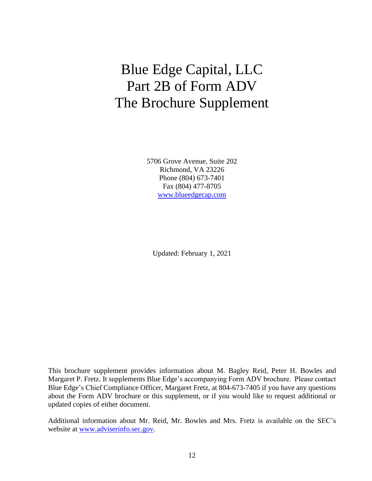# Blue Edge Capital, LLC Part 2B of Form ADV The Brochure Supplement

5706 Grove Avenue, Suite 202 Richmond, VA 23226 Phone (804) 673-7401 Fax (804) 477-8705 [www.blueedgecap.com](http://www.blueedgecap.com/)

Updated: February 1, 2021

This brochure supplement provides information about M. Bagley Reid, Peter H. Bowles and Margaret P. Fretz. It supplements Blue Edge's accompanying Form ADV brochure. Please contact Blue Edge's Chief Compliance Officer, Margaret Fretz, at 804-673-7405 if you have any questions about the Form ADV brochure or this supplement, or if you would like to request additional or updated copies of either document.

Additional information about Mr. Reid, Mr. Bowles and Mrs. Fretz is available on the SEC's website at [www.adviserinfo.sec.gov.](http://www.adviserinfo.sec.gov/)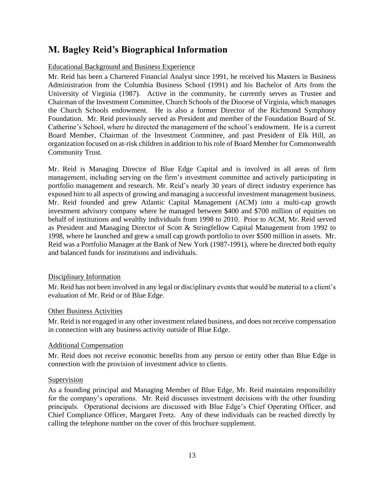## **M. Bagley Reid's Biographical Information**

#### Educational Background and Business Experience

Mr. Reid has been a Chartered Financial Analyst since 1991, he received his Masters in Business Administration from the Columbia Business School (1991) and his Bachelor of Arts from the University of Virginia (1987). Active in the community, he currently serves as Trustee and Chairman of the Investment Committee, Church Schools of the Diocese of Virginia, which manages the Church Schools endowment. He is also a former Director of the Richmond Symphony Foundation. Mr. Reid previously served as President and member of the Foundation Board of St. Catherine's School, where he directed the management of the school's endowment. He is a current Board Member, Chairman of the Investment Committee, and past President of Elk Hill, an organization focused on at-risk children in addition to his role of Board Member for Commonwealth Community Trust.

Mr. Reid is Managing Director of Blue Edge Capital and is involved in all areas of firm management, including serving on the firm's investment committee and actively participating in portfolio management and research. Mr. Reid's nearly 30 years of direct industry experience has exposed him to all aspects of growing and managing a successful investment management business. Mr. Reid founded and grew Atlantic Capital Management (ACM) into a multi-cap growth investment advisory company where he managed between \$400 and \$700 million of equities on behalf of institutions and wealthy individuals from 1998 to 2010. Prior to ACM, Mr. Reid served as President and Managing Director of Scott & Stringfellow Capital Management from 1992 to 1998, where he launched and grew a small cap growth portfolio to over \$500 million in assets. Mr. Reid was a Portfolio Manager at the Bank of New York (1987-1991), where he directed both equity and balanced funds for institutions and individuals.

#### Disciplinary Information

Mr. Reid has not been involved in any legal or disciplinary events that would be material to a client's evaluation of Mr. Reid or of Blue Edge.

#### Other Business Activities

Mr. Reid is not engaged in any other investment related business, and does not receive compensation in connection with any business activity outside of Blue Edge.

#### Additional Compensation

Mr. Reid does not receive economic benefits from any person or entity other than Blue Edge in connection with the provision of investment advice to clients.

#### Supervision

As a founding principal and Managing Member of Blue Edge, Mr. Reid maintains responsibility for the company's operations. Mr. Reid discusses investment decisions with the other founding principals. Operational decisions are discussed with Blue Edge's Chief Operating Officer, and Chief Compliance Officer, Margaret Fretz. Any of these individuals can be reached directly by calling the telephone number on the cover of this brochure supplement.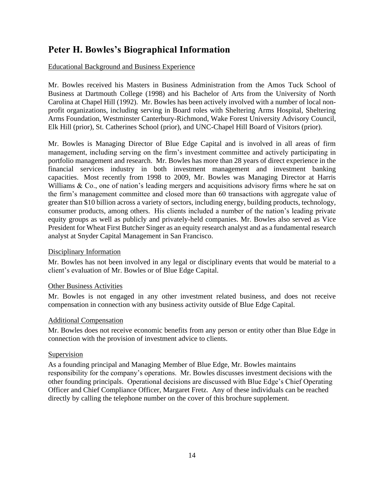### **Peter H. Bowles's Biographical Information**

#### Educational Background and Business Experience

Mr. Bowles received his Masters in Business Administration from the Amos Tuck School of Business at Dartmouth College (1998) and his Bachelor of Arts from the University of North Carolina at Chapel Hill (1992). Mr. Bowles has been actively involved with a number of local nonprofit organizations, including serving in Board roles with Sheltering Arms Hospital, Sheltering Arms Foundation, Westminster Canterbury-Richmond, Wake Forest University Advisory Council, Elk Hill (prior), St. Catherines School (prior), and UNC-Chapel Hill Board of Visitors (prior).

Mr. Bowles is Managing Director of Blue Edge Capital and is involved in all areas of firm management, including serving on the firm's investment committee and actively participating in portfolio management and research. Mr. Bowles has more than 28 years of direct experience in the financial services industry in both investment management and investment banking capacities. Most recently from 1998 to 2009, Mr. Bowles was Managing Director at Harris Williams  $\&$  Co., one of nation's leading mergers and acquisitions advisory firms where he sat on the firm's management committee and closed more than 60 transactions with aggregate value of greater than \$10 billion across a variety of sectors, including energy, building products, technology, consumer products, among others. His clients included a number of the nation's leading private equity groups as well as publicly and privately-held companies. Mr. Bowles also served as Vice President for Wheat First Butcher Singer as an equity research analyst and as a fundamental research analyst at Snyder Capital Management in San Francisco.

#### Disciplinary Information

Mr. Bowles has not been involved in any legal or disciplinary events that would be material to a client's evaluation of Mr. Bowles or of Blue Edge Capital.

#### Other Business Activities

Mr. Bowles is not engaged in any other investment related business, and does not receive compensation in connection with any business activity outside of Blue Edge Capital.

#### Additional Compensation

Mr. Bowles does not receive economic benefits from any person or entity other than Blue Edge in connection with the provision of investment advice to clients.

#### Supervision

As a founding principal and Managing Member of Blue Edge, Mr. Bowles maintains responsibility for the company's operations. Mr. Bowles discusses investment decisions with the other founding principals. Operational decisions are discussed with Blue Edge's Chief Operating Officer and Chief Compliance Officer, Margaret Fretz. Any of these individuals can be reached directly by calling the telephone number on the cover of this brochure supplement.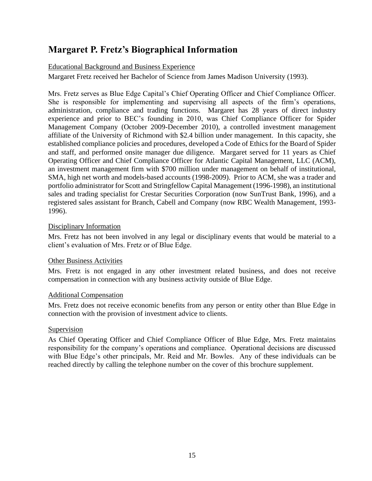## **Margaret P. Fretz's Biographical Information**

### Educational Background and Business Experience

Margaret Fretz received her Bachelor of Science from James Madison University (1993).

Mrs. Fretz serves as Blue Edge Capital's Chief Operating Officer and Chief Compliance Officer. She is responsible for implementing and supervising all aspects of the firm's operations, administration, compliance and trading functions. Margaret has 28 years of direct industry experience and prior to BEC's founding in 2010, was Chief Compliance Officer for Spider Management Company (October 2009-December 2010), a controlled investment management affiliate of the University of Richmond with \$2.4 billion under management. In this capacity, she established compliance policies and procedures, developed a Code of Ethics for the Board of Spider and staff, and performed onsite manager due diligence. Margaret served for 11 years as Chief Operating Officer and Chief Compliance Officer for Atlantic Capital Management, LLC (ACM), an investment management firm with \$700 million under management on behalf of institutional, SMA, high net worth and models-based accounts (1998-2009). Prior to ACM, she was a trader and portfolio administrator for Scott and Stringfellow Capital Management (1996-1998), an institutional sales and trading specialist for Crestar Securities Corporation (now SunTrust Bank, 1996), and a registered sales assistant for Branch, Cabell and Company (now RBC Wealth Management, 1993- 1996).

### Disciplinary Information

Mrs. Fretz has not been involved in any legal or disciplinary events that would be material to a client's evaluation of Mrs. Fretz or of Blue Edge.

### Other Business Activities

Mrs. Fretz is not engaged in any other investment related business, and does not receive compensation in connection with any business activity outside of Blue Edge.

### Additional Compensation

Mrs. Fretz does not receive economic benefits from any person or entity other than Blue Edge in connection with the provision of investment advice to clients.

### Supervision

As Chief Operating Officer and Chief Compliance Officer of Blue Edge, Mrs. Fretz maintains responsibility for the company's operations and compliance. Operational decisions are discussed with Blue Edge's other principals, Mr. Reid and Mr. Bowles. Any of these individuals can be reached directly by calling the telephone number on the cover of this brochure supplement.